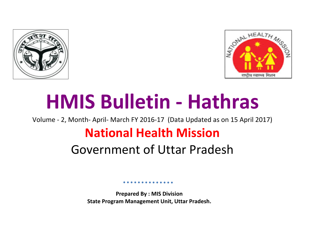



# **HMIS Bulletin - Hathras**

Volume - 2, Month- April- March FY 2016-17 (Data Updated as on 15 April 2017)

## **National Health Mission**

## Government of Uttar Pradesh

**Prepared By : MIS Division State Program Management Unit, Uttar Pradesh.**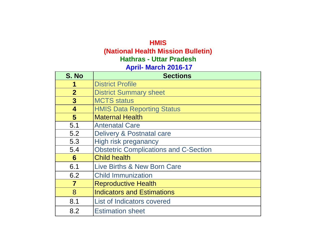## **HMIS (National Health Mission Bulletin) April- March 2016-17 Hathras - Uttar Pradesh**

| S. No                   | <b>Sections</b>                              |
|-------------------------|----------------------------------------------|
|                         | <b>District Profile</b>                      |
| $\overline{2}$          | <b>District Summary sheet</b>                |
| $\mathbf{3}$            | <b>MCTS</b> status                           |
| $\overline{\mathbf{4}}$ | <b>HMIS Data Reporting Status</b>            |
| 5                       | <b>Maternal Health</b>                       |
| 5.1                     | <b>Antenatal Care</b>                        |
| 5.2                     | Delivery & Postnatal care                    |
| 5.3                     | High risk preganancy                         |
| 5.4                     | <b>Obstetric Complications and C-Section</b> |
| 6                       | <b>Child health</b>                          |
| 6.1                     | Live Births & New Born Care                  |
| 6.2                     | <b>Child Immunization</b>                    |
| $\overline{7}$          | <b>Reproductive Health</b>                   |
| 8                       | <b>Indicators and Estimations</b>            |
| 8.1                     | <b>List of Indicators covered</b>            |
| 8.2                     | <b>Estimation sheet</b>                      |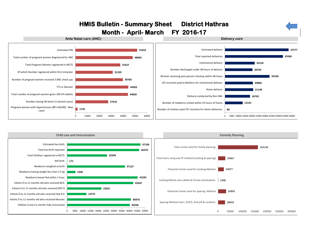

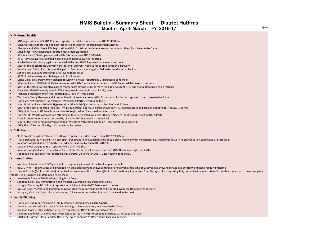## **HMIS Bulletin - Summary Sheet District Hathras Month - April- March FY 2016-17**

## **Maternal health:**

- ANC registration and 3 ANC Checkup reported in HMIS is more than the AHS 12-13 Data
- DHQ,Mursan,Sikandra Rao and Sasni block TT2 or Booster reported more than District .
- Hasayan and Maho block PW Registration with in 1st trimester is very low as compare to other block. Need to be focus.
- DHQ block ANC registration reported more than Estimation.
- All block 3 ANC Checkups reported in HMIS is more than AHS 12-13 data.
- 45 % Home Deliveries reported in HMIS out of Total Deliveries reported.
- 9 % Deliveries is missing against estimated deliveries. HMIS Reported data need to recheck
- Most of the block Home Delivery > Institutional Delivery. Need to focus on Institutional Delivery.
- Sadabad and Sasni block JSY incentive paid to Mothers is more against Deliveries conducted at facility .
- Sahpau block Missing Delivery is 54% . Need to be focus
- 92 % of delivered women discharged within 48 hours .
- Maho Block delivered women discharged within 48 hours reporting is 0 . Data need to recheck
- Sikandra Rao and DHQ Block Deliveries reported in HMIS more than estimation. HMIS Reported data need to recheck
- Most of the block JSY incentive paid to mothers are almost 100% or more than 100 % except DHQ and Maho .Data need to be recheck
- Case identified of severely anemic PW is very low, it need to focus at Facility level.
- High risk pregnant women not reported at SC level in HMIS portal.
- Two block Namly Hasayan and Sikandra Rao Block severe anaemia (Hb<7) treated at institution reported is zero . Need to be focus.
- Two block Not reported Hypertansive PW on HMIS Portal. Need to be focus.
- Identification of New PW with Hypertension (BP> 140/90) not reported at DH, PHC and SC level.
- Most of the block reported HIgh Risk PW in HMIS Portal but MCTS portal shows only 7% reported. Need to Focus on updating HRP on MCTS portal.
- DHQ block PW <11 HB level is more than PW registration . Data need to be rechack
- Only 2% of PW with complication attended at facility reported in Hathras District. Need to identify and report on HMIS Portal
- Complication treatement not recived by block for PW. Data need to be recheck.
- 6 out of the 8 block not reported attended PW comes with complication on HMIS portal Up to March 17
- DHQ Block C Section % is High . Data need to be recheck.

### **Child Health:**

- 98 % Breast fed within 1 Hours of births are reported in HMIS is more than AHS 12-13 Data.
- "Total Deliveries is =< Live birth + Still Birth" but Sikandra Rao,Sadabad and Sahpau block Not follow this validation rule. Need to be focus in Block Validation committee at Block level.
- Newborn weighed at birth reported in HMIS portal is double than AHS 2012-13
- Mursan Block weight at Birth reported More than live Birth.
- Newborn weighed at birth need to be focus at Sub Center level because less than 70 % Newborn weighed at birth .
- Sadabad block still birth not reported in HMIS Portal up to March 2017 . Data need to be rechack.

### **Immunization**

- Number of live birth and BCG given not corresponding in most of the block as per the table.
- BCG, OPV 0, Hep B 0 Doses are given at birth time but reporting shows all three are not given at the time at SC level, it is showing service gap at facility and need focus Monitoring.
- "No. of infants (0-11 months old)immunized for measles >= No. of infants(9-11 months old) fully immunized " but Hasayan block reporting fully immunization infants 0 to 11 month is more than measles given to infants 0 to 11 months old. Data need to be chack
- 
- Need to be foucs at PHC level regarding Birth Doses.
- Sadabad block Fully immunization and Measles Coverage is low other than Block.
- Hasayan Block Hep B0 child not reported in HMIS up to March-17. Data need to recheck
- Mursan Block Measles and Fully immunization children reported more then Estimeted live birth. Data need to recheck.
- Hasayan, Maho and Sasni block measles and fully Immunization data is equal. Data Need to Recheak

## **Family Planning**

- Two block not reported limiting Family planning Method cases in HMIS portal .
- Sadabad and Sikandra Rao block family planning achivement is very low. Need to be focus.
- Sadabad Block IUCD insertion is Very less reporting on HMIS Portal. Need to be focus
- Sikandra Rao block Oral Pills Users very less reported in HMIS Portal up to March 2017. Focus to improve.
- DHQ and Hasayan Block Condom User very low as compare to Other block. Focus to Improve.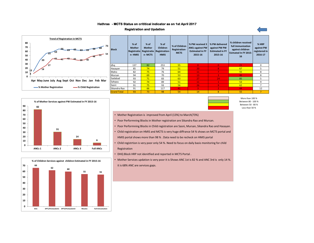## **- MCTS Status on crititical indicator as on 1st April 2017 Hathras**

## **Registration and Updation**



| <b>Block</b>       | $%$ of<br><b>Mother</b><br>Registratio<br>n-HMIS | $%$ of<br><b>Mother</b><br>Registratio<br>n-MCTS | $%$ of<br><b>Children</b><br><b>Registration-</b><br><b>HMIS</b> | % of Children<br>Registration-<br><b>MCTS</b> | % PW received 3<br><b>ANCs against PW</b><br><b>Estimated in FY</b><br>2015-16 | % PW delivered<br>against PW PW<br><b>Estimated in FY</b><br>2015-16 | % children received<br>full immunization<br>against children<br><b>Esimated In FY 2015-1</b><br>16 | % HRP<br>against PW<br>registered in<br>2016-17 |
|--------------------|--------------------------------------------------|--------------------------------------------------|------------------------------------------------------------------|-----------------------------------------------|--------------------------------------------------------------------------------|----------------------------------------------------------------------|----------------------------------------------------------------------------------------------------|-------------------------------------------------|
| dha                | 137                                              | 82                                               | 253                                                              | 55                                            | $\Omega$                                                                       | $\Omega$                                                             | 21                                                                                                 | $\mathbf 0$                                     |
| Hasayan            | 85                                               | 74                                               | 79                                                               | 51                                            | 20                                                                             | 81                                                                   | 67                                                                                                 | 5.                                              |
| Maho               | 82                                               | 75                                               | 76                                                               | 64                                            | 11                                                                             | 7.                                                                   | 55                                                                                                 | 8                                               |
| Mursan             | 94                                               | 69                                               | 70                                                               | 53                                            | 13                                                                             | 3.                                                                   | 46                                                                                                 | 8                                               |
| Sadabad            | 93                                               | 71                                               | 83                                                               | 63                                            | 27                                                                             | 24                                                                   | 85                                                                                                 | 5                                               |
| Sahpau             | 92                                               | 74                                               | 89                                                               | 51                                            | 11                                                                             |                                                                      | 53                                                                                                 | 9                                               |
| Sasni              | 91                                               | 75                                               | 93                                                               | 56                                            | 26                                                                             | 9                                                                    | 62                                                                                                 |                                                 |
| Sikandra Rao       | 91                                               | 66                                               | 117                                                              | 41                                            | 3.                                                                             | $\overline{2}$                                                       | 44                                                                                                 | 12                                              |
| <b>Grand Total</b> | 93                                               | 73                                               | 98                                                               | 54                                            | 14                                                                             | 8                                                                    | 55                                                                                                 |                                                 |





More than 100 % Between 80 - 100 % Between 50 - 80 % Less than 50 %

- Mother Registration is improved from April (13%) to March(73%)
- Poor Performning Blocks in Mother registration are Sikandra Rao and Mursan.
- Poor Performning Blocks in Child registration are Sasni, Mursan, Sikandra Rao and Hasayan.
- Child registration on HMIS and MCTS is very huge diffrance 54 % shows on MCTS portal and HMIS portal shows more than 98 % . Data need to be recheck on HMIS portal
- Child registrtion is very poor only 54 %. Need to focus on daily basis monitoring for child Registration
- DHQ Block HRP not idenitfied and reported in MCTS Portal .
- Mother Services updation is very poor it is Shows ANC 1st is 82 % and ANC 3rd is only 14 %. it is 68% ANC are services gaps.

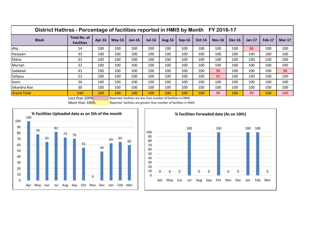| District Hathras - Percentage of facilities reported in HMIS by Month FY 2016-17 |                                          |        |          |          |          |                                                                           |          |               |               |               |          |        |          |
|----------------------------------------------------------------------------------|------------------------------------------|--------|----------|----------|----------|---------------------------------------------------------------------------|----------|---------------|---------------|---------------|----------|--------|----------|
| <b>Block</b>                                                                     | <b>Total No. of</b><br><b>Facilities</b> | Apr-16 | $May-16$ | $Jun-16$ | $Jul-16$ | Aug-16                                                                    | $Sep-16$ | <b>Oct-16</b> | <b>Nov-16</b> | <b>Dec-16</b> | $Jan-17$ | Feb-17 | $Mar-17$ |
| dhq                                                                              | 14                                       | 100    | 100      | 100      | 100      | 100                                                                       | 100      | 100           | 100           | 100           | 86       | 100    | 100      |
| Hasayan                                                                          | 33                                       | 100    | 100      | 100      | 100      | 100                                                                       | 100      | 100           | 100           | 100           | 100      | 100    | 100      |
| Maho                                                                             | 32                                       | 100    | 100      | 100      | 100      | 100                                                                       | 100      | 100           | 100           | 100           | 100      | 100    | 100      |
| Mursan                                                                           | 32                                       | 100    | 100      | 100      | 100      | 100                                                                       | 100      | 100           | 100           | 100           | 100      | 100    | 100      |
| Sadabad                                                                          | 41                                       | 100    | 100      | 100      | 100      | 100                                                                       | 100      | 100           | 98            | 100           | 100      | 100    | 98       |
| Sahpau                                                                           | 22                                       | 100    | 100      | 100      | 100      | 100                                                                       | 100      | 100           | 95            | 100           | 100      | 100    | 100      |
| Sasni                                                                            | 36                                       | 100    | 100      | 100      | 100      | 100                                                                       | 100      | 100           | 100           | 100           | 100      | 100    | 100      |
| Sikandra Rao                                                                     | 30                                       | 100    | 100      | 100      | 100      | 100                                                                       | 100      | 100           | 100           | 100           | 100      | 100    | 100      |
| <b>Grand Total</b>                                                               | 240<br>$1 - 1$ $1 - 1$                   | 100    | 100      | 100      | 100      | 100<br>Descended footbates and leaders are accelerated that a to the AIC. | 100      | 100           | 99            | 100           | 99       | 100    | 100      |

Less than 100% Reported facilities are less than number of facilities in HMIS

More than  $100\%$  Reported facilities are greater than number of facilities in HMIS



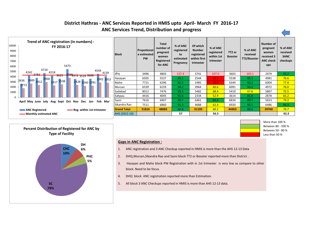## **ANC Services Trend, Distribution and progress District Hathras - ANC Services Reported in HMIS upto April- March FY 2016-17**









## **Gaps in ANC Registration :**

- 1. ANC registration and 3 ANC Checkup reported in HMIS is more than the AHS 12-13 Data
- 2. DHQ,Mursan,Sikandra Rao and Sasni block TT2 or Booster reported more than District .
- 3. Hasayan and Maho block PW Registration with in 1st trimester is very low as compare to other block. Need to be focus.
- 4. DHQ block ANC registration reported more than Estimation.
- 5. All block 3 ANC Checkups reported in HMIS is more than AHS 12-13 data.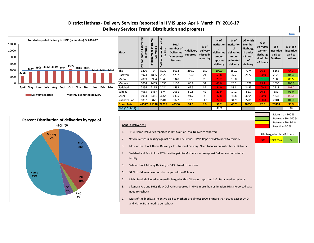## **District Hathras - Delivery Services Reported in HMIS upto April- March FY 2016-17 Delivery Services Trend, Distribution and progress**

 $\overline{v}$ 



| <b>Block</b>       | stimated<br>deliveries<br>ய<br>Propotionate | Home<br>Deliveries<br>Ó<br>number<br>Total | ä<br>ucted<br>ਠ<br>facility<br>ខ<br><b>Deliveries</b> | <b>Total</b><br>number of<br><b>Deliveries</b><br>(Home+Inst<br>itution) | % delivery<br>reported | $%$ of<br>delivery<br>missed in<br>reporting | $%$ of<br><i>institution</i><br>al<br>deliveries<br>among<br>reported<br>delivery | $%$ of<br>institution<br>al<br>deliveries<br>among<br>estimated<br>delivery | Of which<br><b>Number</b><br>discharge<br>d under<br>48 hours<br>of<br>delivery | $%$ of<br>delivered<br>women<br>discharge<br>d within<br>48 hours | <b>JSY</b><br>incentive<br>paid to<br><b>Mothers</b> | % of JSY<br>incentive<br>paid to<br>mothers |
|--------------------|---------------------------------------------|--------------------------------------------|-------------------------------------------------------|--------------------------------------------------------------------------|------------------------|----------------------------------------------|-----------------------------------------------------------------------------------|-----------------------------------------------------------------------------|---------------------------------------------------------------------------------|-------------------------------------------------------------------|------------------------------------------------------|---------------------------------------------|
| dhq                | 3210                                        | $\Omega$                                   | 8032                                                  | 8032                                                                     | 250.2                  | $-150$                                       | 100.0                                                                             | 250.2                                                                       | 7774                                                                            | 96.8                                                              | 5168                                                 | 64.3                                        |
| Hasayan            | 5973                                        | 1895                                       | 2822                                                  | 4717                                                                     | 79.0                   | 21                                           | 59.8                                                                              | 47.2                                                                        | 2822                                                                            | 100.0                                                             | 2822                                                 | 100.0                                       |
| Maho               | 7089                                        | 3994                                       | 1346                                                  | 5340                                                                     | 75.3                   | 25                                           | 25.2                                                                              | 19.0                                                                        | $\Omega$                                                                        | 0.0                                                               | 1083                                                 | 80.5                                        |
| Mursan             | 6004                                        | 2435                                       | 1695                                                  | 4130                                                                     | 68.8                   | 31                                           | 41.0                                                                              | 28.2                                                                        | 1679                                                                            | 99.1                                                              | 1695                                                 | 100.0                                       |
| Sadabad            | 7356                                        | 2115                                       | 2484                                                  | 4599                                                                     | 62.5                   | 37                                           | 54.0                                                                              | 33.8                                                                        | 2495                                                                            | 100.4                                                             | 2513                                                 | 101.2                                       |
| Sahpau             | 4055                                        | 1487                                       | 574                                                   | 2061                                                                     | 50.8                   | 49                                           | 27.9                                                                              | 14.2                                                                        | 521                                                                             | 90.8                                                              | 551                                                  | 96.0                                        |
| Sasni              | 6993                                        | 3351                                       | 3064                                                  | 6415                                                                     | 91.7                   | 8                                            | 47.8                                                                              | 43.8                                                                        | 3064                                                                            | 100.0                                                             | 4835                                                 | 157.8                                       |
| Sikandra Rao       | 6897                                        | 5871                                       | 2201                                                  | 8072                                                                     | 117.0                  | $-17$                                        | 27.3                                                                              | 31.9                                                                        | 2201                                                                            | 100.0                                                             | 2201                                                 | 100.0                                       |
| <b>Grand Total</b> | 47577                                       | 21148                                      | 22218                                                 | 43366                                                                    | 91.1                   | 8.9                                          | 51.2                                                                              | 46.7                                                                        | 20556                                                                           | 92.5                                                              | 20868                                                | 93.9                                        |
| AHS (2012-13)      |                                             |                                            |                                                       |                                                                          |                        |                                              | 61.7                                                                              |                                                                             |                                                                                 |                                                                   |                                                      | 68                                          |



- 1. 45 % Home Deliveries reported in HMIS out of Total Deliveries reported.
- 2. 9 % Deliveries is missing against estimated deliveries. HMIS Reported data need to recheck
- 3. Most of the block Home Delivery > Institutional Delivery. Need to focus on Institutional Delivery.
- 4. Sadabad and Sasni block JSY incentive paid to Mothers is more against Deliveries conducted at facility .
- 5. Sahpau block Missing Delivery is 54% . Need to be focus
- 6. 92 % of delivered women discharged within 48 hours .
- 7. Maho Block delivered women discharged within 48 hours reporting is 0 . Data need to recheck
- 8. Sikandra Rao and DHQ Block Deliveries reported in HMIS more than estimation. HMIS Reported data need to recheck
- 9. Most of the block JSY incentive paid to mothers are almost 100% or more than 100 % except DHQ and Maho .Data need to be recheck



More than 100 %

| Discharged under 48 hours |    |  |  |  |  |  |  |
|---------------------------|----|--|--|--|--|--|--|
| $\leq$ =50, $\leq$ =10    | ۷q |  |  |  |  |  |  |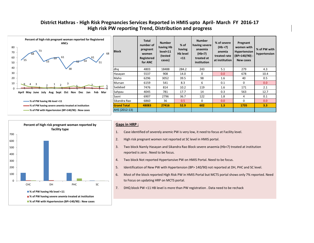## **High risk PW reporting Trend, Distribution and progress District Hathras - High Risk Pregnancies Services Reported in HMIS upto April- March FY 2016-17**



| <b>Block</b>       | <b>Total</b><br>number of<br>pregnant<br>women<br>Registered<br>for ANC | <b>Number</b><br>having Hb<br>level<11<br>(tested<br>cases) | $%$ of<br>having<br><b>Hb</b> level<br>$11$ | <b>Number</b><br>having severe<br>anaemia<br>(Hb<7)<br>treated at<br>institution | % of severe<br>(Hb < 7)<br>anemia<br>treated rate<br>at institution | Pregnant<br>women with<br><b>Hypertension</b><br>$(BP>140/90)$ :<br><b>New cases</b> | % of PW with<br>hypertension |
|--------------------|-------------------------------------------------------------------------|-------------------------------------------------------------|---------------------------------------------|----------------------------------------------------------------------------------|---------------------------------------------------------------------|--------------------------------------------------------------------------------------|------------------------------|
| dhq                | 4803                                                                    | 18488                                                       | 284.2                                       | 243                                                                              | 5.1                                                                 | 279                                                                                  | 4.3                          |
| Hasayan            | 5537                                                                    | 908                                                         | 14.0                                        | 0                                                                                | 0.0                                                                 | 678                                                                                  | 10.4                         |
| Maho               | 6296                                                                    | 3052                                                        | 39.5                                        | 98                                                                               | 1.6                                                                 | 40                                                                                   | 0.5                          |
| Mursan             | 6159                                                                    | 541                                                         | 8.3                                         | 6                                                                                | 0.1                                                                 | $\Omega$                                                                             | 0.0                          |
| Sadabad            | 7476                                                                    | 814                                                         | 10.2                                        | 119                                                                              | 1.6                                                                 | 171                                                                                  | 2.1                          |
| Sahpau             | 4045                                                                    | 781                                                         | 17.7                                        | 14                                                                               | 0.3                                                                 | 563                                                                                  | 12.7                         |
| Sasni              | 6907                                                                    | 2796                                                        | 36.7                                        | 122                                                                              | 1.8                                                                 | 4                                                                                    | 0.1                          |
| Sikandra Rao       | 6860                                                                    | 36                                                          | 0.5                                         | $\Omega$                                                                         | 0.0                                                                 | $\Omega$                                                                             | 0.0                          |
| <b>Grand Total</b> | 48083                                                                   | 27416                                                       | 52.9                                        | 602                                                                              | 1.3                                                                 | 1735                                                                                 | 3.3                          |
| AHS (2012-13)      |                                                                         |                                                             |                                             |                                                                                  |                                                                     |                                                                                      |                              |



## **Gaps in HRP :**

- 1. Case identified of severely anemic PW is very low, it need to focus at Facility level.
- 2. High risk pregnant women not reported at SC level in HMIS portal.
- 3. Two block Namly Hasayan and Sikandra Rao Block severe anaemia (Hb<7) treated at institution reported is zero . Need to be focus.
- 4. Two block Not reported Hypertansive PW on HMIS Portal. Need to be focus.
- 5. Identification of New PW with Hypertension (BP> 140/90) not reported at DH, PHC and SC level.
- 6. Most of the block reported HIgh Risk PW in HMIS Portal but MCTS portal shows only 7% reported. Need to Focus on updating HRP on MCTS portal.
- 7. DHQ block PW <11 HB level is more than PW registration . Data need to be rechack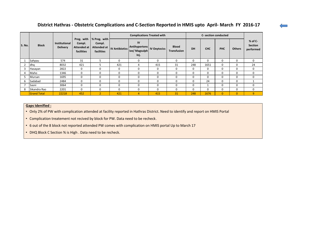## **District Hathras - Obstetric Complications and C-Section Reported in HMIS upto April- March FY 2016-17**

|        |                    |                                         | Preg. with                          |                                                                                  |          | <b>Complications Treated with</b>            |                     |                             | C- section conducted |              |              |                |                                          |
|--------|--------------------|-----------------------------------------|-------------------------------------|----------------------------------------------------------------------------------|----------|----------------------------------------------|---------------------|-----------------------------|----------------------|--------------|--------------|----------------|------------------------------------------|
| S. No. | <b>Block</b>       | <b>Institutional</b><br><b>Delivery</b> | Compl.<br>Attended at<br>facilities | % Preg. with<br>Compl.<br>Attended at  IV Antibiotics <sup>"</sup><br>facilities |          | IV<br>Antihypertens<br>ive/ Magsulph<br>Inj. | <b>IV Oxytocics</b> | <b>Blood</b><br>Transfusion | DH                   | <b>CHC</b>   | <b>PHC</b>   | <b>Others</b>  | $%$ of C-<br><b>Section</b><br>performed |
|        | Sahpau             | 574                                     | 31                                  | ר                                                                                | $\Omega$ | 0                                            | $\mathbf 0$         | $\Omega$                    | $\Omega$             | 0            | 0            | $\Omega$       | $\mathbf{0}$                             |
|        | dhq                | 8032                                    | 421                                 | 5                                                                                | 421      | 4                                            | 415                 | 31                          | 248                  | 1651         | 0            | $\Omega$       | 24                                       |
|        | Hasayan            | 2822                                    | 0                                   | $\mathbf 0$                                                                      | 0        | 0                                            | $\mathbf 0$         | $\Omega$                    | $\Omega$             | $\mathbf{0}$ | 0            | $\mathbf 0$    | $\mathbf 0$                              |
|        | Maho               | 1346                                    | $\Omega$                            | $\Omega$                                                                         | 0        | 0                                            | $\mathbf 0$         | $\Omega$                    | $\Omega$             | $\Omega$     | 0            | $\Omega$       | $\mathbf 0$                              |
|        | Mursan             | 1695                                    | 0                                   | $\Omega$                                                                         | 0        | 0                                            | $\mathbf 0$         | $\Omega$                    | $\Omega$             | $\Omega$     | 0            | $\mathbf 0$    | $\mathbf 0$                              |
| b      | Sadabad            | 2484                                    | 0                                   | $\Omega$                                                                         | $\Omega$ | $\Omega$                                     | $\Omega$            | O                           | $\Omega$             | 24           | 0            | $\Omega$       |                                          |
|        | Sasni              | 3064                                    | 0                                   | $\mathbf 0$                                                                      | 0        | 0                                            | $\mathbf 0$         | 0                           | $\Omega$             |              | 0            | $\mathbf 0$    | 0                                        |
|        | Sikandra Rao       | 2201                                    | 0                                   | $\mathbf 0$                                                                      | 0        | 0                                            | $\mathbf 0$         | $\Omega$                    | $\Omega$             | 0            | $\mathbf 0$  | $\Omega$       | 0                                        |
|        | <b>Grand Total</b> | 22218                                   | 452                                 | $\overline{2}$                                                                   | 421      | 4                                            | 415                 | 31                          | 248                  | 1676         | $\mathbf{0}$ | $\overline{0}$ | 9                                        |

## **Gaps Idenified :**

• Only 2% of PW with complication attended at facility reported in Hathras District. Need to identify and report on HMIS Portal

• Complication treatement not recived by block for PW. Data need to be recheck.

• 6 out of the 8 block not reported attended PW comes with complication on HMIS portal Up to March 17

• DHQ Block C Section % is High . Data need to be recheck.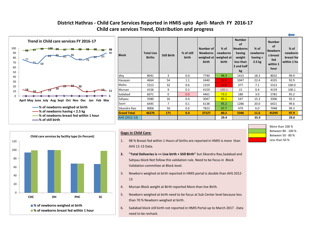## **Child care services Trend, Distribution and progress District Hathras - Child Care Services Reported in HMIS upto April- March FY 2016-17**



| <b>Block</b>       | <b>Total Live</b><br><b>Births</b> | <b>Still Birth</b> | % of still<br>birth | Number of<br><b>Newborns</b><br>weighed at<br>birth | $%$ of<br>newborns<br>weighed at<br>birth | <b>Number</b><br>of<br><b>Newborns</b><br>having<br>weight<br>less than<br>2 and half<br>kg | $%$ of<br>newborns<br>having $\leq$<br>2.5 <sub>kg</sub> | <b>Number</b><br>of<br><b>Newborn</b><br>s breast<br>fed<br>within 1<br>hour | % of<br>newborns<br>breast fec<br>within 1 ho |
|--------------------|------------------------------------|--------------------|---------------------|-----------------------------------------------------|-------------------------------------------|---------------------------------------------------------------------------------------------|----------------------------------------------------------|------------------------------------------------------------------------------|-----------------------------------------------|
| dha                | 8041                               | 3                  | 0.0                 | 7740                                                | 96.3                                      | 1415                                                                                        | 18.3                                                     | 8032                                                                         | 99.9                                          |
| Hasayan            | 4664                               | 54                 | 1.1                 | 2440                                                | 52.3                                      | 1047                                                                                        | 22.4                                                     | 4335                                                                         | 92.9                                          |
| Maho               | 5313                               | 32                 | 0.6                 | 1319                                                | 24.8                                      | 377                                                                                         | 7.1                                                      | 5313                                                                         | 100.0                                         |
| Mursan             | 4156                               | 9                  | 0.2                 | 4159                                                | 100.1                                     | 15                                                                                          | 0.4                                                      | 4159                                                                         | 100.1                                         |
| Sadabad            | 6071                               | $\mathbf{0}$       | 0.0                 | 4461                                                | 73.5                                      | 180                                                                                         | 3.0                                                      | 5781                                                                         | 95.2                                          |
| Sahpau             | 3580                               | 16                 | 0.4                 | 3047                                                | 85.1                                      | 547                                                                                         | 15.3                                                     | 3306                                                                         | 92.3                                          |
| Sasni              | 6445                               | 7                  | 0.1                 | 6138                                                | 95.2                                      | 1286                                                                                        | 20.0                                                     | 6421                                                                         | 99.6                                          |
| Sikandra Rao       | 8006                               | 50                 | 0.6                 | 7823                                                | 97.7                                      | 479                                                                                         | 6.0                                                      | 7948                                                                         | 99.3                                          |
| <b>Grand Total</b> | 46276                              | 171                | 0.4                 | 37127                                               | 80.2                                      | 5346                                                                                        | 11.6                                                     | 45295                                                                        | 97.9                                          |
| AHS (2012-13)      |                                    |                    |                     |                                                     | 29.4                                      |                                                                                             | 35.9                                                     |                                                                              | 29.6                                          |



## **Gaps in Child Care:**

- 1. 98 % Breast fed within 1 Hours of births are reported in HMIS is more than AHS 12-13 Data.
- **2. "Total Deliveries is =< Live birth + Still Birth"** but Sikandra Rao,Sadabad and Sahpau block Not follow this validation rule. Need to be focus in Block Validation committee at Block level.
- 3. Newborn weighed at birth reported in HMIS portal is double than AHS 2012- 13
- 4. Mursan Block weight at Birth reported More than live Birth.
- 5. Newborn weighed at birth need to be focus at Sub Center level because less than 70 % Newborn weighed at birth .
- 6. Sadabad block still birth not reported in HMIS Portal up to March 2017 . Data need to be rechack.

| More than 100 %    |
|--------------------|
| Between 80 - 100 % |
| Between 50 - 80 %  |
| Less than 50 %     |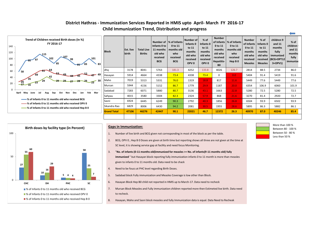## **Child Immunization Trend, Distribution and progress District Hathras - Immunization Services Reported in HMIS upto April- March FY 2016-17**



| <b>Block</b>       | <b>Est. live</b><br>birth | <b>Total Live</b><br><b>Births</b> | Infants 0 to<br>11 months<br>old who<br>received<br><b>BCG</b> | Number of 1% of Infants<br>0 to 11<br>months old<br>who<br>received<br><b>BCG</b> | Number of<br>Infants 0<br>to 11<br>months<br>old who<br>received<br>OPV <sub>0</sub> | $%$ of<br>Infants 0<br>to 11<br>months<br>old who<br>received<br>OPV <sub>0</sub> | <b>Number</b><br>0 to 11<br>months<br>old who<br>received<br>Hepatitis-<br>B <sub>0</sub> | of Infants   % of Infants<br>0 to 11<br>months old<br>who<br>received<br>Hep B <sub>0</sub> | <b>Number</b><br>of Infants<br>0 to 11<br>months<br>old who<br>received<br><b>Measles</b> | $%$ of<br>Infants 0<br>to 11<br>months<br>old who<br>received<br><b>Measles</b> | children 9<br>and 11<br>months<br>fully<br>immunized<br>$IGCG+DPT12$<br>$3+OPV1$ | $%$ of<br>children<br>and 11<br>months<br>fully<br>immunize |
|--------------------|---------------------------|------------------------------------|----------------------------------------------------------------|-----------------------------------------------------------------------------------|--------------------------------------------------------------------------------------|-----------------------------------------------------------------------------------|-------------------------------------------------------------------------------------------|---------------------------------------------------------------------------------------------|-------------------------------------------------------------------------------------------|---------------------------------------------------------------------------------|----------------------------------------------------------------------------------|-------------------------------------------------------------|
| dha                | 3178                      | 8041                               | 5763                                                           | 181.3                                                                             | 4252                                                                                 | 133.8                                                                             | 4026                                                                                      | 126.7                                                                                       | 2814                                                                                      | 88.5                                                                            | 2734                                                                             | 86.0                                                        |
| Hasayan            | 5914                      | 4664                               | 4338                                                           | 73.4                                                                              | 4338                                                                                 | 73.4                                                                              | 0                                                                                         | 0.0 <sub>1</sub>                                                                            | 5404                                                                                      | 91.4                                                                            | 5419                                                                             | 91.6                                                        |
| Maho               | 7019                      | 5313                               | 5331                                                           | 76.0                                                                              | 1319                                                                                 | 18.8                                                                              | 817                                                                                       | 11.6                                                                                        | 5449                                                                                      | 77.6                                                                            | 5449                                                                             | 77.6                                                        |
| Mursan             | 5944                      | 4156                               | 5152                                                           | 86.7                                                                              | 1779                                                                                 | 29.9                                                                              | 1187                                                                                      | 20.0 <sub>1</sub>                                                                           | 6354                                                                                      | 106.9                                                                           | 6060                                                                             | 101.9                                                       |
| Sadabad            | 7283                      | 6071                               | 5880                                                           | 80.7                                                                              | 3136                                                                                 | 43.1                                                                              | 1663                                                                                      | 22.8                                                                                        | 5280                                                                                      | 72.5                                                                            | 5280                                                                             | 72.5                                                        |
| Sahpau             | 4015                      | 3580                               | 3304                                                           | 82.3                                                                              | 2324                                                                                 | 57.9                                                                              | 868                                                                                       | 21.6                                                                                        | 3270                                                                                      | 81.4                                                                            | 2920                                                                             | 72.7                                                        |
| Sasni              | 6924                      | 6445                               | 6249                                                           | 90.3                                                                              | 2792                                                                                 | 40.3                                                                              | 1856                                                                                      | 26.8                                                                                        | 6504                                                                                      | 93.9                                                                            | 6502                                                                             | 93.9                                                        |
| Sikandra Rao       | 6829                      | 8006                               | 6430                                                           | 94.2                                                                              | 2081                                                                                 | 30.5                                                                              | 1955                                                                                      | 28.6                                                                                        | 5895                                                                                      | 86.3                                                                            | 5882                                                                             | 86.1                                                        |
| <b>Grand Total</b> | 47106                     | 46276                              | 42447                                                          | 90.1                                                                              | 22021                                                                                | 46.7                                                                              | 12372                                                                                     | 26.3                                                                                        | 40970                                                                                     | 87.0                                                                            | 40246                                                                            | 85.4                                                        |
|                    |                           |                                    |                                                                |                                                                                   |                                                                                      |                                                                                   |                                                                                           |                                                                                             |                                                                                           |                                                                                 |                                                                                  |                                                             |



## **Gaps in Immunization:**

- 1. Number of live birth and BCG given not corresponding in most of the block as per the table.
- 2. BCG, OPV 0 , Hep B 0 Doses are given at birth time but reporting shows all three are not given at the time at SC level, it is showing service gap at facility and need focus Monitoring.
- 3. "**No. of infants (0-11 months old)immunized for measles >= No. of infants(9-11 months old) fully immunized** " but Hasayan block reporting fully immunization infants 0 to 11 month is more than measles given to infants 0 to 11 months old. Data need to be chack
- 4. Need to be foucs at PHC level regarding Birth Doses.
- 5. Sadabad block Fully immunization and Measles Coverage is low other than Block.
- 6. Hasayan Block Hep B0 child not reported in HMIS up to March-17. Data need to recheck
- 7. Mursan Block Measles and Fully immunization children reported more then Estimeted live birth. Data need to recheck.
- 8. Hasayan, Maho and Sasni block measles and fully Immunization data is equal. Data Need to Recheak

Less than 50 % More than 100 % Between 80 - 100 % Between 50 - 80 %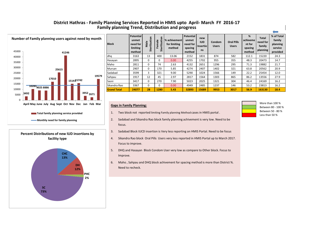## **District Hathras - Family Planning Services Reported in HMIS upto April- March FY 2016-17 Family planning Trend, Distribution and progress**



| <b>Block</b>       | <b>Potential</b><br>unmet<br>need for<br>limiting<br>method | Sterilization<br>Male | Sterilization<br>emale | % achivement<br>for limiting<br>method | <b>Potential</b><br>unmet<br>need for<br>spacing<br>method | new<br><b>IUD</b><br>Insertio<br>ns | Condom<br><b>Users</b> | <b>Oral Pills</b><br><b>Users</b> | %<br>achiveme<br>nt for<br>spacing<br>method | <b>Total</b><br>need for<br>family<br>planning | % of Total<br>family<br>planning<br>service<br>provided |
|--------------------|-------------------------------------------------------------|-----------------------|------------------------|----------------------------------------|------------------------------------------------------------|-------------------------------------|------------------------|-----------------------------------|----------------------------------------------|------------------------------------------------|---------------------------------------------------------|
| dha                | 3163                                                        | 13                    | 400                    | 13.06                                  | 2152                                                       | 1831                                | 874                    | 582                               | 112.1                                        | 15220                                          | 24.3                                                    |
| Hasayan            | 2895                                                        | 0                     | $\Omega$               | 0.00                                   | 4255                                                       | 1702                                | 955                    | 355                               | 48.3                                         | 20473                                          | 14.7                                                    |
| Maho               | 2811                                                        | 0                     | 74                     | 2.63                                   | 4132                                                       | 2651                                | 1296                   | 295                               | 71.3                                         | 19882                                          | 21.7                                                    |
| Mursan             | 2907                                                        | 0                     | 170                    | 5.85                                   | 4274                                                       | 2407                                | 1402                   | 321                               | 63.8                                         | 20562                                          | 20.9                                                    |
| Sadabad            | 3599                                                        | 3                     | 321                    | 9.00                                   | 5290                                                       | 1024                                | 1566                   | 149                               | 22.2                                         | 25454                                          | 12.0                                                    |
| Sahpau             | 1917                                                        | 12                    | 45                     | 2.97                                   | 2817                                                       | 1564                                | 1303                   | 865                               | 86.2                                         | 13556                                          | 27.9                                                    |
| Sasni              | 3417                                                        | 0                     | 270                    | 7.90                                   | 5023                                                       | 2025                                | 1321                   | 304                               | 46.4                                         | 24169                                          | 16.2                                                    |
| Sikandra Rao       | 3367                                                        | 0                     | $\Omega$               | 0.00                                   | 4949                                                       | 2485                                | 1237                   | 146                               | 53.2                                         | 23813                                          | 16.2                                                    |
| <b>Grand Total</b> | 24077                                                       | 28                    | 1280                   | 5.43                                   | 32893                                                      | 15689                               | 9953                   | 3017                              | 56.9                                         | 163130                                         | 18.4                                                    |

- 1. Two block not reported limiting Family planning Method cases in HMIS portal .
- 2. Sadabad and Sikandra Rao block family planning achivement is very low. Need to be
- 3. Sadabad Block IUCD insertion is Very less reporting on HMIS Portal. Need to be focus
- 4. Sikandra Rao block Oral Pills Users very less reported in HMIS Portal up to March 2017.
- 5. DHQ and Hasayan Block Condom User very low as compare to Other block. Focus to
- 6. Maho , Sahpau and DHQ block achivement for spacing method is more than District %.



Less than 50 % More than 100 % Between 80 - 100 % Between 50 - 80 %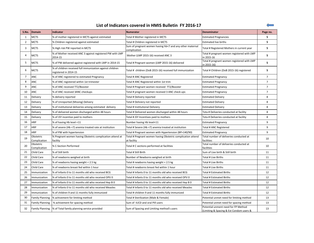| List of Indicators covered in HMIS Bulletin FY 2016-17 |  |  |
|--------------------------------------------------------|--|--|
|--------------------------------------------------------|--|--|

| S.No.          | Domain                    | Indicator                                                                          | <b>Numerator</b>                                                           | <b>Denominator</b>                                                              | Page no.       |
|----------------|---------------------------|------------------------------------------------------------------------------------|----------------------------------------------------------------------------|---------------------------------------------------------------------------------|----------------|
| 1              | <b>MCTS</b>               | % of mother registered in MCTS against estimated                                   | Total # Mother registered in MCTS                                          | <b>Estimated Pregnancies</b>                                                    | 5              |
| $\overline{2}$ | <b>MCTS</b>               | % Children registered against estimated                                            | Total # Children registered in MCTS                                        | <b>Estimated live births</b>                                                    | 5              |
| 3              | <b>MCTS</b>               | % High risk PW reported in MCTS                                                    | Sum of pregnant women having hb<7 and any other maternal<br>complication   | Total # Registered Mothers in current year                                      | 5              |
| 4              | <b>MCTS</b>               | % of Mother received ANC 3 against registered PW with LMP<br>2014-15               | Mother (LMP 2015-16) received ANC 3                                        | Total # pregnant women registered with LMP<br>in 2015-16                        | 5              |
| 5              | <b>MCTS</b>               | % of PW delivered against registered with LMP in 2014-15                           | Total # Pregnant women (LMP 2015-16) delivered                             | Total # pregnant women registered with LMP<br>in 2015-16)                       | 5              |
| 6              | <b>MCTS</b>               | % of children received full immunization against children<br>registered in 2014-15 | Total # children (DoB 2015-16) received full immunization                  | Total # Children (DoB 2015-16) registered                                       | 5              |
| $\overline{7}$ | <b>ANC</b>                | % of ANC registered to estimated Pregnancy                                         | Total # ANC Registered                                                     | <b>Estimated Pregnancy</b>                                                      | $\overline{7}$ |
| 8              | <b>ANC</b>                | % of ANC registered within 1st trimester                                           | Total # ANC Registered within 1st trim                                     | <b>Estimated Pregnancy</b>                                                      | $\overline{7}$ |
| 9              | <b>ANC</b>                | % of ANC received TT2/Booster                                                      | Total # Pregnant women received TT2/Booster                                | <b>Estimated Pregnancy</b>                                                      | $\overline{7}$ |
| 10             | <b>ANC</b>                | % of ANC received 3ANC checkups                                                    | Total # pregnant women received 3 ANC check ups                            | <b>Estimated Pregnancy</b>                                                      | $\overline{7}$ |
| 11             | Delivery                  | % delivery reported                                                                | Total # Delivery reported                                                  | <b>Estimated Delivery</b>                                                       | 8              |
| 12             | Delivery                  | % of Unreported (Missing) Delivery                                                 | Total # Deliviery not reported                                             | <b>Estimated Delivery</b>                                                       | 8              |
| 13             | Delivery                  | % of institutional deliveries among estimated delivery                             | Total # Institutional Deliviery                                            | <b>Estimated Delivery</b>                                                       | 8              |
| 14             | Delivery                  | % of delivered women discharged within 48 hours                                    | Total # Delivered women discharged within 48 hours                         | Tota # Deliveries conducted at facility                                         | 8              |
| 15             | Delivery                  | % of JSY incentive paid to mothers                                                 | Total # JSY Incentives paid to mothers                                     | Tota # Deliveries conducted at facility                                         | 8              |
| 16             | <b>HRP</b>                | % of having Hb level <11                                                           | Number having Hb level<11                                                  | <b>Estimated Pregnancy</b>                                                      | 9              |
| 17             | <b>HRP</b>                | % of severe (Hb <7) anemia treated rate at institution                             | Total # Severe (Hb <7) anemia treated at institution                       | Total # ANC Registered                                                          | 9              |
| 18             | <b>HRP</b>                | % of PW with hypertension                                                          | Total # Pregnant women with Hypertension (BP>140/90)                       | <b>Estimated Pregnancy</b>                                                      | 9              |
| 19             | Obstetric<br>Complication | % Pregnant women having Obstetric complication attend at<br>facility               | Total # Pregnant women having Obstetric complication attend<br>at facility | Total number of deliveries conducted at<br>facilities                           | 10             |
| 20             | Obstetric<br>Complication | % C-Section Performed                                                              | Total # C sections performed at facilities                                 | Total number of deliveries conducted at<br>facilities                           | 10             |
| 21             | Child Care                | % of Still birth                                                                   | Total # Still Birth                                                        | Sum of Live birth & Still birth                                                 | 11             |
| 22             | Child Care                | % of newborns weighed at birth                                                     | Number of Newborns weighed at birth                                        | Total # Live Births                                                             | 11             |
| 23             | Child Care                | % of newborns having weight < 2.5 kg                                               | Total # newborns having weight < 2.5 kg                                    | Total # Live Births                                                             | 11             |
| 24             | <b>Child Care</b>         | % of newborns breast fed within 1 hour                                             | Total # newborns breast fed within 1 hour                                  | Total # Live Births                                                             | 11             |
| 25             | Immunization              | % of Infants 0 to 11 months old who received BCG                                   | Total # Infants 0 to 11 months old who received BCG                        | Total # Estimated Births                                                        | 12             |
| 26             | Immunization              | % of Infants 0 to 11 months old who received OPV 0                                 | Total # Infants 0 to 11 months old who received OPV 0                      | Total # Estimated Births                                                        | 12             |
| 27             | Immunization              | % of Infants 0 to 11 months old who received Hep B 0                               | Total # Infants 0 to 11 months old who received Hep B 0                    | <b>Total # Estimated Births</b>                                                 | 12             |
| 28             | Immunization              | % of Infants 0 to 11 months old who received Measles                               | Total # Infants 0 to 11 months old who received Measles                    | Total # Estimated Births                                                        | 12             |
| 29             | Immunization              | % of children 9 and 11 months fully immunized                                      | Total # children 9 and 11 months fully immunized                           | <b>Total # Estimated Births</b>                                                 | 12             |
| 30             | <b>Family Planning</b>    | % achivement for limiting method                                                   | Total # Sterilization (Male & Female)                                      | Potential unmet need for limiting method                                        | 13             |
| 31             | <b>Family Planning</b>    | % achivement for spacing method                                                    | Sum of IUCD and oral Pill users                                            | Potential unmet need for spacing method                                         | 13             |
| 32             |                           | Family Planning % of Total family planning service provided                        | Sum of Spacing and Limiting method's users                                 | Potential unment need for FP Method<br>(Limiting & Spacing & Est Condom users & | 13             |

 $\leftarrow$